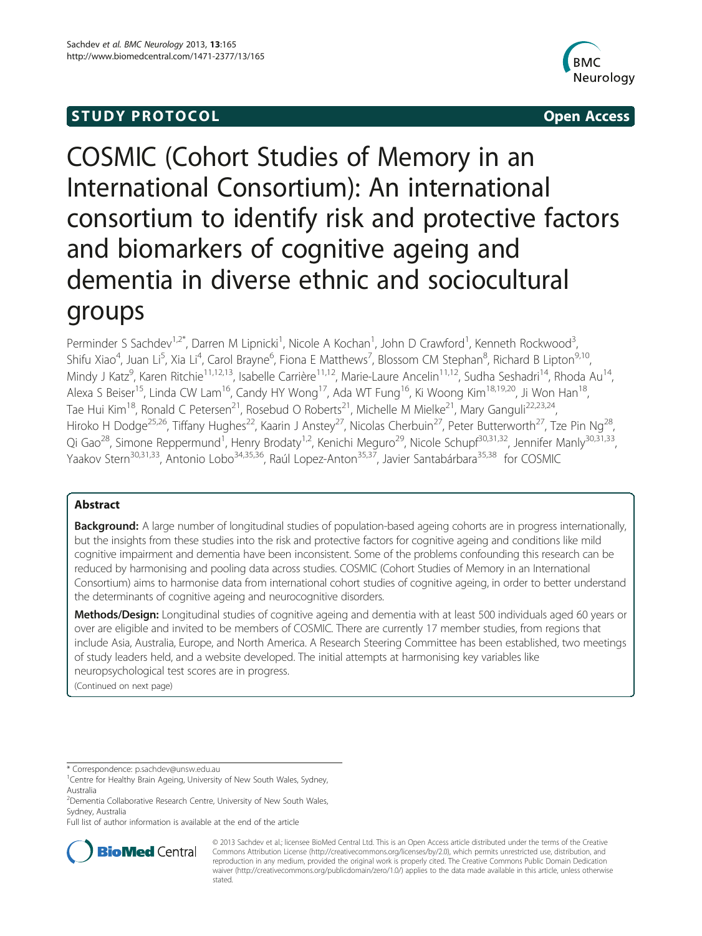# **STUDY PROTOCOL** And the set of the set of the set of the set of the set of the set of the set of the set of the set of the set of the set of the set of the set of the set of the set of the set of the set of the set of the



# COSMIC (Cohort Studies of Memory in an International Consortium): An international consortium to identify risk and protective factors and biomarkers of cognitive ageing and dementia in diverse ethnic and sociocultural groups

Perminder S Sachdev<sup>1,2\*</sup>, Darren M Lipnicki<sup>1</sup>, Nicole A Kochan<sup>1</sup>, John D Crawford<sup>1</sup>, Kenneth Rockwood<sup>3</sup> , Shifu Xiao<sup>4</sup>, Juan Li<sup>5</sup>, Xia Li<sup>4</sup>, Carol Brayne<sup>6</sup>, Fiona E Matthews<sup>7</sup>, Blossom CM Stephan<sup>8</sup>, Richard B Lipton<sup>9,10</sup>, Mindy J Katz<sup>9</sup>, Karen Ritchie<sup>11,12,13</sup>, Isabelle Carrière<sup>11,12</sup>, Marie-Laure Ancelin<sup>11,12</sup>, Sudha Seshadri<sup>14</sup>, Rhoda Au<sup>14</sup>, Alexa S Beiser<sup>15</sup>, Linda CW Lam<sup>16</sup>, Candy HY Wong<sup>17</sup>, Ada WT Fung<sup>16</sup>, Ki Woong Kim<sup>18,19,20</sup>, Ji Won Han<sup>18</sup>, Tae Hui Kim<sup>18</sup>, Ronald C Petersen<sup>21</sup>, Rosebud O Roberts<sup>21</sup>, Michelle M Mielke<sup>21</sup>, Mary Ganguli<sup>22,23,24</sup>, Hiroko H Dodge<sup>25,26</sup>, Tiffany Hughes<sup>22</sup>, Kaarin J Anstey<sup>27</sup>, Nicolas Cherbuin<sup>27</sup>, Peter Butterworth<sup>27</sup>, Tze Pin Ng<sup>28</sup> Qi Gao<sup>28</sup>, Simone Reppermund<sup>1</sup>, Henry Brodaty<sup>1,2</sup>, Kenichi Meguro<sup>29</sup>, Nicole Schupf<sup>30,31,32</sup>, Jennifer Manly<sup>30,31,33</sup>, Yaakov Stern<sup>30,31,33</sup>, Antonio Lobo<sup>34,35,36</sup>, Raúl Lopez-Anton<sup>35,37</sup>, Javier Santabárbara<sup>35,38</sup> for COSMIC

# Abstract

**Background:** A large number of longitudinal studies of population-based ageing cohorts are in progress internationally, but the insights from these studies into the risk and protective factors for cognitive ageing and conditions like mild cognitive impairment and dementia have been inconsistent. Some of the problems confounding this research can be reduced by harmonising and pooling data across studies. COSMIC (Cohort Studies of Memory in an International Consortium) aims to harmonise data from international cohort studies of cognitive ageing, in order to better understand the determinants of cognitive ageing and neurocognitive disorders.

Methods/Design: Longitudinal studies of cognitive ageing and dementia with at least 500 individuals aged 60 years or over are eligible and invited to be members of COSMIC. There are currently 17 member studies, from regions that include Asia, Australia, Europe, and North America. A Research Steering Committee has been established, two meetings of study leaders held, and a website developed. The initial attempts at harmonising key variables like neuropsychological test scores are in progress.

(Continued on next page)

\* Correspondence: [p.sachdev@unsw.edu.au](mailto:p.sachdev@unsw.edu.au) <sup>1</sup>

Full list of author information is available at the end of the article



© 2013 Sachdev et al.; licensee BioMed Central Ltd. This is an Open Access article distributed under the terms of the Creative Commons Attribution License [\(http://creativecommons.org/licenses/by/2.0\)](http://creativecommons.org/licenses/by/2.0), which permits unrestricted use, distribution, and reproduction in any medium, provided the original work is properly cited. The Creative Commons Public Domain Dedication waiver [\(http://creativecommons.org/publicdomain/zero/1.0/\)](http://creativecommons.org/publicdomain/zero/1.0/) applies to the data made available in this article, unless otherwise stated.

<sup>&</sup>lt;sup>1</sup> Centre for Healthy Brain Ageing, University of New South Wales, Sydney, Australia

<sup>2</sup> Dementia Collaborative Research Centre, University of New South Wales, Sydney, Australia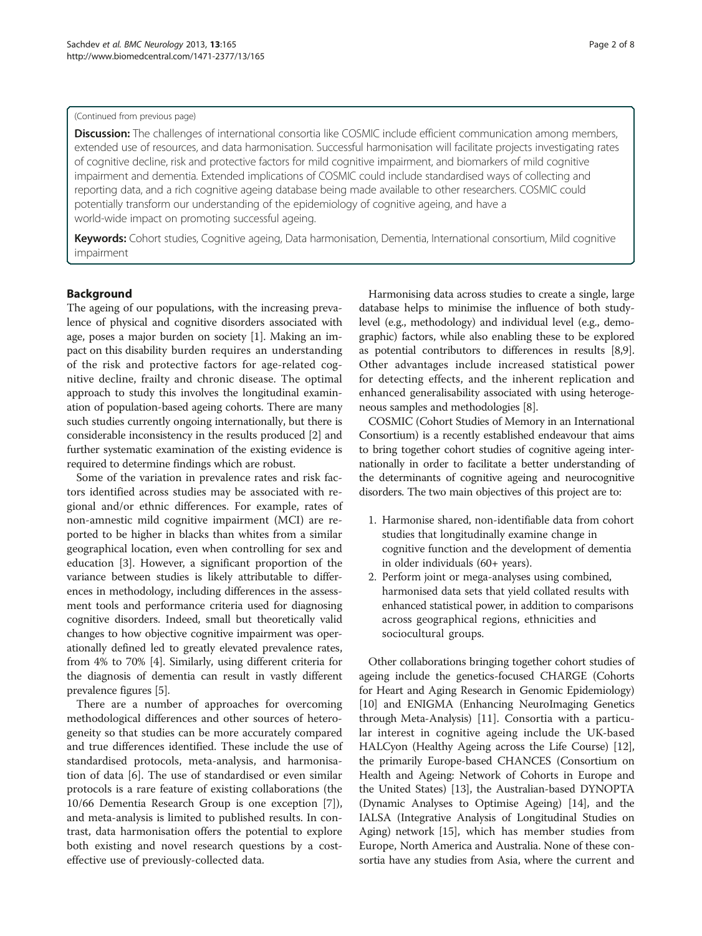#### (Continued from previous page)

Discussion: The challenges of international consortia like COSMIC include efficient communication among members, extended use of resources, and data harmonisation. Successful harmonisation will facilitate projects investigating rates of cognitive decline, risk and protective factors for mild cognitive impairment, and biomarkers of mild cognitive impairment and dementia. Extended implications of COSMIC could include standardised ways of collecting and reporting data, and a rich cognitive ageing database being made available to other researchers. COSMIC could potentially transform our understanding of the epidemiology of cognitive ageing, and have a world-wide impact on promoting successful ageing.

Keywords: Cohort studies, Cognitive ageing, Data harmonisation, Dementia, International consortium, Mild cognitive impairment

# Background

The ageing of our populations, with the increasing prevalence of physical and cognitive disorders associated with age, poses a major burden on society [[1](#page-6-0)]. Making an impact on this disability burden requires an understanding of the risk and protective factors for age-related cognitive decline, frailty and chronic disease. The optimal approach to study this involves the longitudinal examination of population-based ageing cohorts. There are many such studies currently ongoing internationally, but there is considerable inconsistency in the results produced [\[2\]](#page-6-0) and further systematic examination of the existing evidence is required to determine findings which are robust.

Some of the variation in prevalence rates and risk factors identified across studies may be associated with regional and/or ethnic differences. For example, rates of non-amnestic mild cognitive impairment (MCI) are reported to be higher in blacks than whites from a similar geographical location, even when controlling for sex and education [\[3](#page-6-0)]. However, a significant proportion of the variance between studies is likely attributable to differences in methodology, including differences in the assessment tools and performance criteria used for diagnosing cognitive disorders. Indeed, small but theoretically valid changes to how objective cognitive impairment was operationally defined led to greatly elevated prevalence rates, from 4% to 70% [\[4](#page-6-0)]. Similarly, using different criteria for the diagnosis of dementia can result in vastly different prevalence figures [\[5](#page-6-0)].

There are a number of approaches for overcoming methodological differences and other sources of heterogeneity so that studies can be more accurately compared and true differences identified. These include the use of standardised protocols, meta-analysis, and harmonisation of data [[6\]](#page-6-0). The use of standardised or even similar protocols is a rare feature of existing collaborations (the 10/66 Dementia Research Group is one exception [\[7](#page-6-0)]), and meta-analysis is limited to published results. In contrast, data harmonisation offers the potential to explore both existing and novel research questions by a costeffective use of previously-collected data.

Harmonising data across studies to create a single, large database helps to minimise the influence of both studylevel (e.g., methodology) and individual level (e.g., demographic) factors, while also enabling these to be explored as potential contributors to differences in results [[8,9](#page-6-0)]. Other advantages include increased statistical power for detecting effects, and the inherent replication and enhanced generalisability associated with using heterogeneous samples and methodologies [[8\]](#page-6-0).

COSMIC (Cohort Studies of Memory in an International Consortium) is a recently established endeavour that aims to bring together cohort studies of cognitive ageing internationally in order to facilitate a better understanding of the determinants of cognitive ageing and neurocognitive disorders. The two main objectives of this project are to:

- 1. Harmonise shared, non-identifiable data from cohort studies that longitudinally examine change in cognitive function and the development of dementia in older individuals (60+ years).
- 2. Perform joint or mega-analyses using combined, harmonised data sets that yield collated results with enhanced statistical power, in addition to comparisons across geographical regions, ethnicities and sociocultural groups.

Other collaborations bringing together cohort studies of ageing include the genetics-focused CHARGE (Cohorts for Heart and Aging Research in Genomic Epidemiology) [[10](#page-6-0)] and ENIGMA (Enhancing NeuroImaging Genetics through Meta-Analysis) [\[11](#page-6-0)]. Consortia with a particular interest in cognitive ageing include the UK-based HALCyon (Healthy Ageing across the Life Course) [[12](#page-6-0)], the primarily Europe-based CHANCES (Consortium on Health and Ageing: Network of Cohorts in Europe and the United States) [[13](#page-6-0)], the Australian-based DYNOPTA (Dynamic Analyses to Optimise Ageing) [\[14\]](#page-6-0), and the IALSA (Integrative Analysis of Longitudinal Studies on Aging) network [[15](#page-6-0)], which has member studies from Europe, North America and Australia. None of these consortia have any studies from Asia, where the current and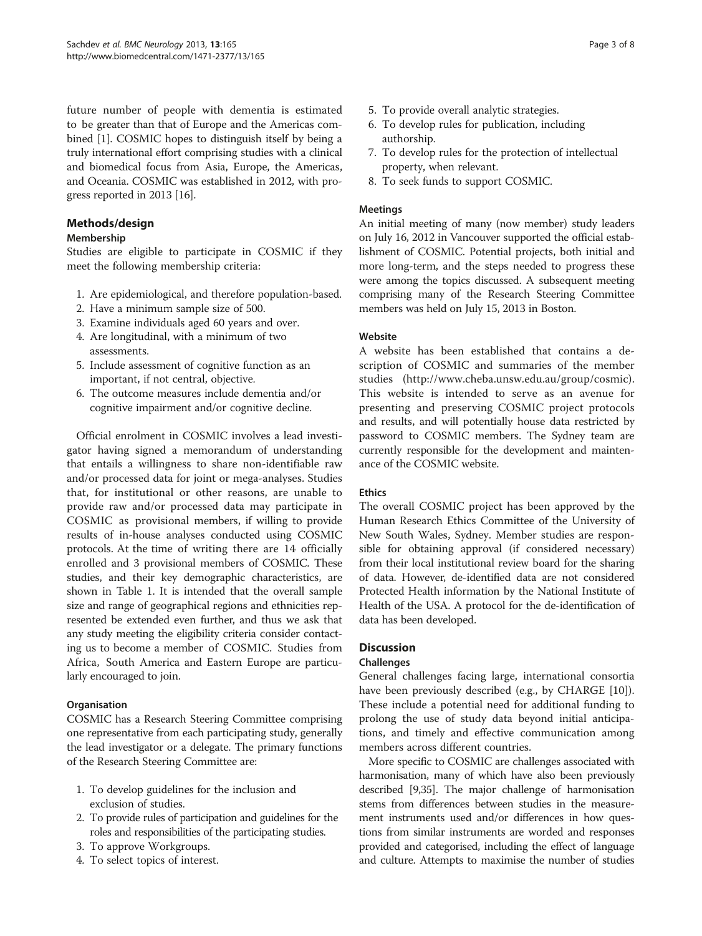future number of people with dementia is estimated to be greater than that of Europe and the Americas combined [\[1](#page-6-0)]. COSMIC hopes to distinguish itself by being a truly international effort comprising studies with a clinical and biomedical focus from Asia, Europe, the Americas, and Oceania. COSMIC was established in 2012, with progress reported in 2013 [\[16](#page-6-0)].

# Methods/design

# Membership

Studies are eligible to participate in COSMIC if they meet the following membership criteria:

- 1. Are epidemiological, and therefore population-based.
- 2. Have a minimum sample size of 500.
- 3. Examine individuals aged 60 years and over.
- 4. Are longitudinal, with a minimum of two assessments.
- 5. Include assessment of cognitive function as an important, if not central, objective.
- 6. The outcome measures include dementia and/or cognitive impairment and/or cognitive decline.

Official enrolment in COSMIC involves a lead investigator having signed a memorandum of understanding that entails a willingness to share non-identifiable raw and/or processed data for joint or mega-analyses. Studies that, for institutional or other reasons, are unable to provide raw and/or processed data may participate in COSMIC as provisional members, if willing to provide results of in-house analyses conducted using COSMIC protocols. At the time of writing there are 14 officially enrolled and 3 provisional members of COSMIC. These studies, and their key demographic characteristics, are shown in Table [1](#page-3-0). It is intended that the overall sample size and range of geographical regions and ethnicities represented be extended even further, and thus we ask that any study meeting the eligibility criteria consider contacting us to become a member of COSMIC. Studies from Africa, South America and Eastern Europe are particularly encouraged to join.

# **Organisation**

COSMIC has a Research Steering Committee comprising one representative from each participating study, generally the lead investigator or a delegate. The primary functions of the Research Steering Committee are:

- 1. To develop guidelines for the inclusion and exclusion of studies.
- 2. To provide rules of participation and guidelines for the roles and responsibilities of the participating studies.
- 3. To approve Workgroups.
- 4. To select topics of interest.
- 5. To provide overall analytic strategies.
- 6. To develop rules for publication, including authorship.
- 7. To develop rules for the protection of intellectual property, when relevant.
- 8. To seek funds to support COSMIC.

# Meetings

An initial meeting of many (now member) study leaders on July 16, 2012 in Vancouver supported the official establishment of COSMIC. Potential projects, both initial and more long-term, and the steps needed to progress these were among the topics discussed. A subsequent meeting comprising many of the Research Steering Committee members was held on July 15, 2013 in Boston.

# Website

A website has been established that contains a description of COSMIC and summaries of the member studies (<http://www.cheba.unsw.edu.au/group/cosmic>). This website is intended to serve as an avenue for presenting and preserving COSMIC project protocols and results, and will potentially house data restricted by password to COSMIC members. The Sydney team are currently responsible for the development and maintenance of the COSMIC website.

# Ethics

The overall COSMIC project has been approved by the Human Research Ethics Committee of the University of New South Wales, Sydney. Member studies are responsible for obtaining approval (if considered necessary) from their local institutional review board for the sharing of data. However, de-identified data are not considered Protected Health information by the National Institute of Health of the USA. A protocol for the de-identification of data has been developed.

# **Discussion**

# Challenges

General challenges facing large, international consortia have been previously described (e.g., by CHARGE [\[10](#page-6-0)]). These include a potential need for additional funding to prolong the use of study data beyond initial anticipations, and timely and effective communication among members across different countries.

More specific to COSMIC are challenges associated with harmonisation, many of which have also been previously described [\[9](#page-6-0)[,35\]](#page-7-0). The major challenge of harmonisation stems from differences between studies in the measurement instruments used and/or differences in how questions from similar instruments are worded and responses provided and categorised, including the effect of language and culture. Attempts to maximise the number of studies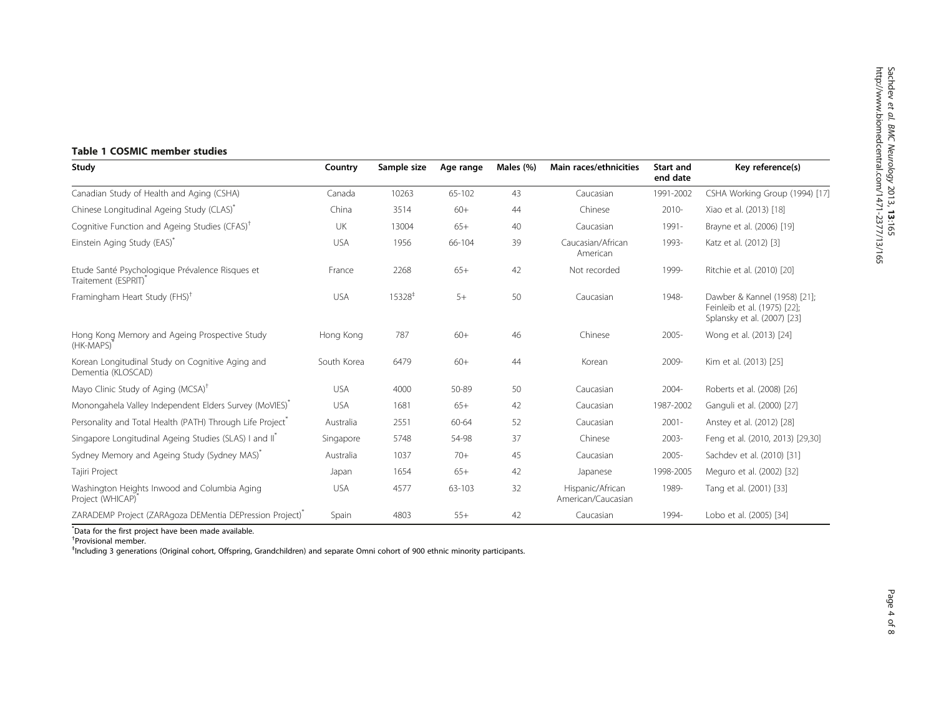# <span id="page-3-0"></span>Table 1 COSMIC member studies

| Study                                                                         | Country     | Sample size        | Age range  | Males (%) | Main races/ethnicities                 | Start and<br>end date | Key reference(s)                                                                            |
|-------------------------------------------------------------------------------|-------------|--------------------|------------|-----------|----------------------------------------|-----------------------|---------------------------------------------------------------------------------------------|
| Canadian Study of Health and Aging (CSHA)                                     | Canada      | 10263              | $65 - 102$ | 43        | Caucasian                              | 1991-2002             | CSHA Working Group (1994) [17]                                                              |
| Chinese Longitudinal Ageing Study (CLAS)                                      | China       | 3514               | $60+$      | 44        | Chinese                                | 2010-                 | Xiao et al. (2013) [18]                                                                     |
| Cognitive Function and Ageing Studies (CFAS) <sup>†</sup>                     | UK          | 13004              | $65+$      | 40        | Caucasian                              | 1991-                 | Brayne et al. (2006) [19]                                                                   |
| Einstein Aging Study (EAS)*                                                   | <b>USA</b>  | 1956               | 66-104     | 39        | Caucasian/African<br>American          | 1993-                 | Katz et al. (2012) [3]                                                                      |
| Etude Santé Psychologique Prévalence Risques et<br>Traitement (ESPRIT)        | France      | 2268               | $65+$      | 42        | Not recorded                           | 1999-                 | Ritchie et al. (2010) [20]                                                                  |
| Framingham Heart Study (FHS) <sup>†</sup>                                     | <b>USA</b>  | 15328 <sup>+</sup> | $5+$       | 50        | Caucasian                              | 1948-                 | Dawber & Kannel (1958) [21];<br>Feinleib et al. (1975) [22];<br>Splansky et al. (2007) [23] |
| Hong Kong Memory and Ageing Prospective Study<br>(HK-MAPS)                    | Hong Kong   | 787                | $60+$      | 46        | Chinese                                | 2005-                 | Wong et al. (2013) [24]                                                                     |
| Korean Longitudinal Study on Cognitive Aging and<br>Dementia (KLOSCAD)        | South Korea | 6479               | $60+$      | 44        | Korean                                 | 2009-                 | Kim et al. (2013) [25]                                                                      |
| Mayo Clinic Study of Aging (MCSA) <sup>†</sup>                                | <b>USA</b>  | 4000               | 50-89      | 50        | Caucasian                              | 2004-                 | Roberts et al. (2008) [26]                                                                  |
| Monongahela Valley Independent Elders Survey (MoVIES) <sup>®</sup>            | <b>USA</b>  | 1681               | $65+$      | 42        | Caucasian                              | 1987-2002             | Ganguli et al. (2000) [27]                                                                  |
| Personality and Total Health (PATH) Through Life Project                      | Australia   | 2551               | 60-64      | 52        | Caucasian                              | $2001 -$              | Anstey et al. (2012) [28]                                                                   |
| Singapore Longitudinal Ageing Studies (SLAS) I and II                         | Singapore   | 5748               | 54-98      | 37        | Chinese                                | 2003-                 | Feng et al. (2010, 2013) [29,30]                                                            |
| Sydney Memory and Ageing Study (Sydney MAS)                                   | Australia   | 1037               | $70+$      | 45        | Caucasian                              | $2005 -$              | Sachdev et al. (2010) [31]                                                                  |
| Tajiri Project                                                                | Japan       | 1654               | $65+$      | 42        | Japanese                               | 1998-2005             | Meguro et al. (2002) [32]                                                                   |
| Washington Heights Inwood and Columbia Aging<br>Project (WHICAP) <sup>*</sup> | <b>USA</b>  | 4577               | 63-103     | 32        | Hispanic/African<br>American/Caucasian | 1989-                 | Tang et al. (2001) [33]                                                                     |
| ZARADEMP Project (ZARAgoza DEMentia DEPression Project)                       | Spain       | 4803               | $55+$      | 42        | Caucasian                              | 1994-                 | Lobo et al. (2005) [34]                                                                     |

\* Data for the first project have been made available.

† Provisional member.

‡ Including 3 generations (Original cohort, Offspring, Grandchildren) and separate Omni cohort of 900 ethnic minority participants.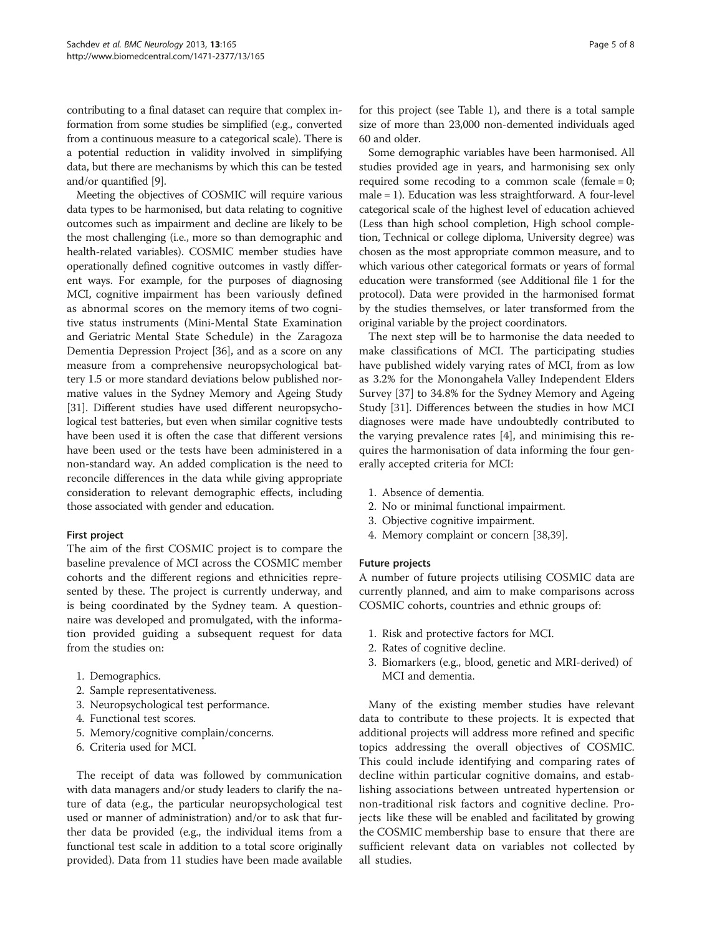contributing to a final dataset can require that complex information from some studies be simplified (e.g., converted from a continuous measure to a categorical scale). There is a potential reduction in validity involved in simplifying data, but there are mechanisms by which this can be tested and/or quantified [\[9](#page-6-0)].

Meeting the objectives of COSMIC will require various data types to be harmonised, but data relating to cognitive outcomes such as impairment and decline are likely to be the most challenging (i.e., more so than demographic and health-related variables). COSMIC member studies have operationally defined cognitive outcomes in vastly different ways. For example, for the purposes of diagnosing MCI, cognitive impairment has been variously defined as abnormal scores on the memory items of two cognitive status instruments (Mini-Mental State Examination and Geriatric Mental State Schedule) in the Zaragoza Dementia Depression Project [\[36\]](#page-7-0), and as a score on any measure from a comprehensive neuropsychological battery 1.5 or more standard deviations below published normative values in the Sydney Memory and Ageing Study [[31](#page-7-0)]. Different studies have used different neuropsychological test batteries, but even when similar cognitive tests have been used it is often the case that different versions have been used or the tests have been administered in a non-standard way. An added complication is the need to reconcile differences in the data while giving appropriate consideration to relevant demographic effects, including those associated with gender and education.

# First project

The aim of the first COSMIC project is to compare the baseline prevalence of MCI across the COSMIC member cohorts and the different regions and ethnicities represented by these. The project is currently underway, and is being coordinated by the Sydney team. A questionnaire was developed and promulgated, with the information provided guiding a subsequent request for data from the studies on:

- 1. Demographics.
- 2. Sample representativeness.
- 3. Neuropsychological test performance.
- 4. Functional test scores.
- 5. Memory/cognitive complain/concerns.
- 6. Criteria used for MCI.

The receipt of data was followed by communication with data managers and/or study leaders to clarify the nature of data (e.g., the particular neuropsychological test used or manner of administration) and/or to ask that further data be provided (e.g., the individual items from a functional test scale in addition to a total score originally provided). Data from 11 studies have been made available for this project (see Table [1\)](#page-3-0), and there is a total sample size of more than 23,000 non-demented individuals aged 60 and older.

Some demographic variables have been harmonised. All studies provided age in years, and harmonising sex only required some recoding to a common scale (female  $= 0$ ; male = 1). Education was less straightforward. A four-level categorical scale of the highest level of education achieved (Less than high school completion, High school completion, Technical or college diploma, University degree) was chosen as the most appropriate common measure, and to which various other categorical formats or years of formal education were transformed (see Additional file [1](#page-5-0) for the protocol). Data were provided in the harmonised format by the studies themselves, or later transformed from the original variable by the project coordinators.

The next step will be to harmonise the data needed to make classifications of MCI. The participating studies have published widely varying rates of MCI, from as low as 3.2% for the Monongahela Valley Independent Elders Survey [\[37](#page-7-0)] to 34.8% for the Sydney Memory and Ageing Study [\[31](#page-7-0)]. Differences between the studies in how MCI diagnoses were made have undoubtedly contributed to the varying prevalence rates [\[4](#page-6-0)], and minimising this requires the harmonisation of data informing the four generally accepted criteria for MCI:

- 1. Absence of dementia.
- 2. No or minimal functional impairment.
- 3. Objective cognitive impairment.
- 4. Memory complaint or concern [\[38,39\]](#page-7-0).

#### Future projects

A number of future projects utilising COSMIC data are currently planned, and aim to make comparisons across COSMIC cohorts, countries and ethnic groups of:

- 1. Risk and protective factors for MCI.
- 2. Rates of cognitive decline.
- 3. Biomarkers (e.g., blood, genetic and MRI-derived) of MCI and dementia.

Many of the existing member studies have relevant data to contribute to these projects. It is expected that additional projects will address more refined and specific topics addressing the overall objectives of COSMIC. This could include identifying and comparing rates of decline within particular cognitive domains, and establishing associations between untreated hypertension or non-traditional risk factors and cognitive decline. Projects like these will be enabled and facilitated by growing the COSMIC membership base to ensure that there are sufficient relevant data on variables not collected by all studies.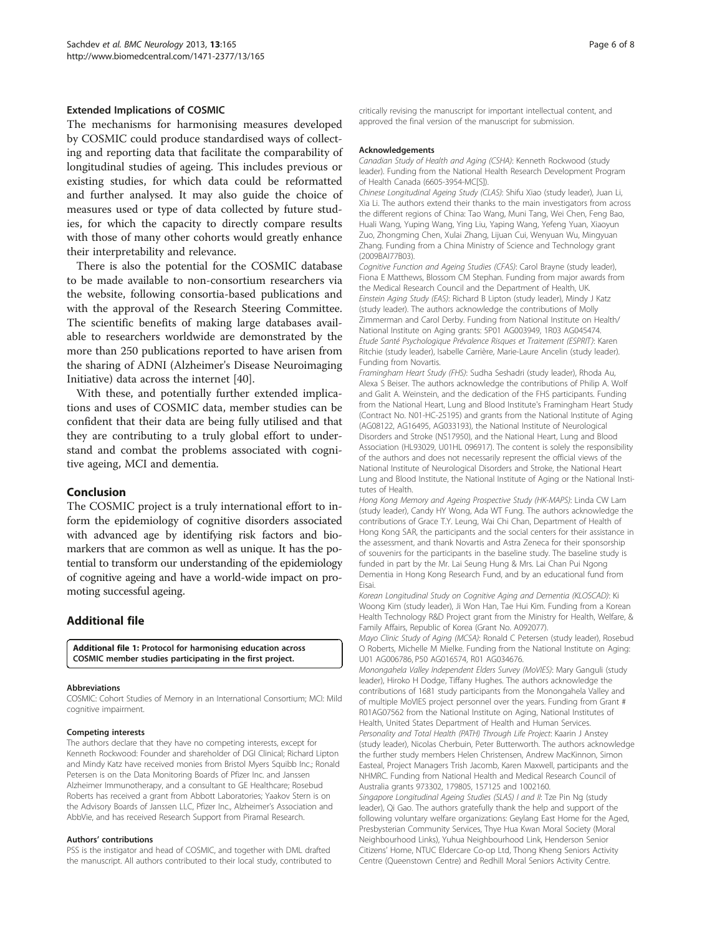#### <span id="page-5-0"></span>Extended Implications of COSMIC

The mechanisms for harmonising measures developed by COSMIC could produce standardised ways of collecting and reporting data that facilitate the comparability of longitudinal studies of ageing. This includes previous or existing studies, for which data could be reformatted and further analysed. It may also guide the choice of measures used or type of data collected by future studies, for which the capacity to directly compare results with those of many other cohorts would greatly enhance their interpretability and relevance.

There is also the potential for the COSMIC database to be made available to non-consortium researchers via the website, following consortia-based publications and with the approval of the Research Steering Committee. The scientific benefits of making large databases available to researchers worldwide are demonstrated by the more than 250 publications reported to have arisen from the sharing of ADNI (Alzheimer's Disease Neuroimaging Initiative) data across the internet [\[40\]](#page-7-0).

With these, and potentially further extended implications and uses of COSMIC data, member studies can be confident that their data are being fully utilised and that they are contributing to a truly global effort to understand and combat the problems associated with cognitive ageing, MCI and dementia.

#### Conclusion

The COSMIC project is a truly international effort to inform the epidemiology of cognitive disorders associated with advanced age by identifying risk factors and biomarkers that are common as well as unique. It has the potential to transform our understanding of the epidemiology of cognitive ageing and have a world-wide impact on promoting successful ageing.

#### Additional file

[Additional file 1:](http://www.biomedcentral.com/content/supplementary/1471-2377-13-165-S1.docx) Protocol for harmonising education across COSMIC member studies participating in the first project.

#### Abbreviations

COSMIC: Cohort Studies of Memory in an International Consortium; MCI: Mild cognitive impairment.

#### Competing interests

The authors declare that they have no competing interests, except for Kenneth Rockwood: Founder and shareholder of DGI Clinical; Richard Lipton and Mindy Katz have received monies from Bristol Myers Squibb Inc.; Ronald Petersen is on the Data Monitoring Boards of Pfizer Inc. and Janssen Alzheimer Immunotherapy, and a consultant to GE Healthcare; Rosebud Roberts has received a grant from Abbott Laboratories; Yaakov Stern is on the Advisory Boards of Janssen LLC, Pfizer Inc., Alzheimer's Association and AbbVie, and has received Research Support from Piramal Research.

#### Authors' contributions

PSS is the instigator and head of COSMIC, and together with DML drafted the manuscript. All authors contributed to their local study, contributed to critically revising the manuscript for important intellectual content, and approved the final version of the manuscript for submission.

#### Acknowledgements

Canadian Study of Health and Aging (CSHA): Kenneth Rockwood (study leader). Funding from the National Health Research Development Program of Health Canada (6605-3954-MC[S]).

Chinese Longitudinal Ageing Study (CLAS): Shifu Xiao (study leader), Juan Li, Xia Li. The authors extend their thanks to the main investigators from across the different regions of China: Tao Wang, Muni Tang, Wei Chen, Feng Bao, Huali Wang, Yuping Wang, Ying Liu, Yaping Wang, Yefeng Yuan, Xiaoyun Zuo, Zhongming Chen, Xulai Zhang, Lijuan Cui, Wenyuan Wu, Mingyuan Zhang. Funding from a China Ministry of Science and Technology grant (2009BAI77B03).

Cognitive Function and Ageing Studies (CFAS): Carol Brayne (study leader), Fiona E Matthews, Blossom CM Stephan. Funding from major awards from the Medical Research Council and the Department of Health, UK. Einstein Aging Study (EAS): Richard B Lipton (study leader), Mindy J Katz (study leader). The authors acknowledge the contributions of Molly Zimmerman and Carol Derby. Funding from National Institute on Health/ National Institute on Aging grants: 5P01 AG003949, 1R03 AG045474. Etude Santé Psychologique Prévalence Risques et Traitement (ESPRIT): Karen Ritchie (study leader), Isabelle Carrière, Marie-Laure Ancelin (study leader). Funding from Novartis.

Framingham Heart Study (FHS): Sudha Seshadri (study leader), Rhoda Au, Alexa S Beiser. The authors acknowledge the contributions of Philip A. Wolf and Galit A. Weinstein, and the dedication of the FHS participants. Funding from the National Heart, Lung and Blood Institute's Framingham Heart Study (Contract No. N01-HC-25195) and grants from the National Institute of Aging (AG08122, AG16495, AG033193), the National Institute of Neurological Disorders and Stroke (NS17950), and the National Heart, Lung and Blood Association (HL93029, U01HL 096917). The content is solely the responsibility of the authors and does not necessarily represent the official views of the National Institute of Neurological Disorders and Stroke, the National Heart Lung and Blood Institute, the National Institute of Aging or the National Institutes of Health.

Hong Kong Memory and Ageing Prospective Study (HK-MAPS): Linda CW Lam (study leader), Candy HY Wong, Ada WT Fung. The authors acknowledge the contributions of Grace T.Y. Leung, Wai Chi Chan, Department of Health of Hong Kong SAR, the participants and the social centers for their assistance in the assessment, and thank Novartis and Astra Zeneca for their sponsorship of souvenirs for the participants in the baseline study. The baseline study is funded in part by the Mr. Lai Seung Hung & Mrs. Lai Chan Pui Ngong Dementia in Hong Kong Research Fund, and by an educational fund from Eisai.

Korean Longitudinal Study on Cognitive Aging and Dementia (KLOSCAD): Ki Woong Kim (study leader), Ji Won Han, Tae Hui Kim. Funding from a Korean Health Technology R&D Project grant from the Ministry for Health, Welfare, & Family Affairs, Republic of Korea (Grant No. A092077).

Mayo Clinic Study of Aging (MCSA): Ronald C Petersen (study leader), Rosebud O Roberts, Michelle M Mielke. Funding from the National Institute on Aging: U01 AG006786, P50 AG016574, R01 AG034676.

Monongahela Valley Independent Elders Survey (MoVIES): Mary Ganguli (study leader), Hiroko H Dodge, Tiffany Hughes. The authors acknowledge the contributions of 1681 study participants from the Monongahela Valley and of multiple MoVIES project personnel over the years. Funding from Grant # R01AG07562 from the National Institute on Aging, National Institutes of Health, United States Department of Health and Human Services. Personality and Total Health (PATH) Through Life Project: Kaarin J Anstey (study leader), Nicolas Cherbuin, Peter Butterworth. The authors acknowledge the further study members Helen Christensen, Andrew MacKinnon, Simon Easteal, Project Managers Trish Jacomb, Karen Maxwell, participants and the NHMRC. Funding from National Health and Medical Research Council of Australia grants 973302, 179805, 157125 and 1002160. Singapore Longitudinal Ageing Studies (SLAS) I and II: Tze Pin Ng (study leader), Qi Gao. The authors gratefully thank the help and support of the following voluntary welfare organizations: Geylang East Home for the Aged,

Presbysterian Community Services, Thye Hua Kwan Moral Society (Moral Neighbourhood Links), Yuhua Neighbourhood Link, Henderson Senior Citizens' Home, NTUC Eldercare Co-op Ltd, Thong Kheng Seniors Activity Centre (Queenstown Centre) and Redhill Moral Seniors Activity Centre.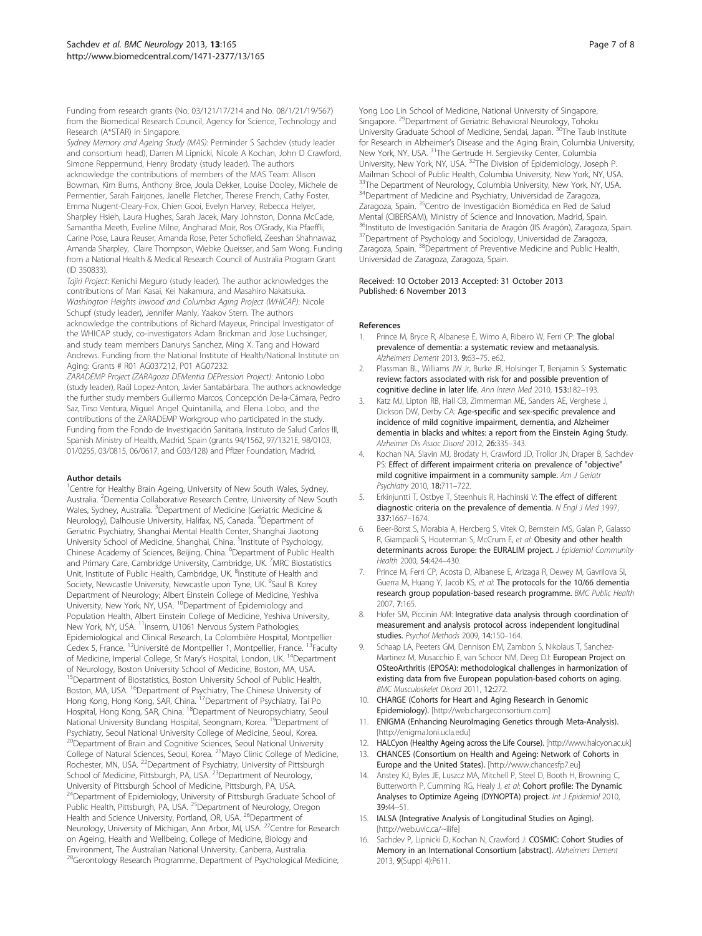<span id="page-6-0"></span>Funding from research grants (No. 03/121/17/214 and No. 08/1/21/19/567) from the Biomedical Research Council, Agency for Science, Technology and Research (A\*STAR) in Singapore.

Sydney Memory and Ageing Study (MAS): Perminder S Sachdev (study leader and consortium head), Darren M Lipnicki, Nicole A Kochan, John D Crawford, Simone Reppermund, Henry Brodaty (study leader). The authors acknowledge the contributions of members of the MAS Team: Allison Bowman, Kim Burns, Anthony Broe, Joula Dekker, Louise Dooley, Michele de Permentier, Sarah Fairjones, Janelle Fletcher, Therese French, Cathy Foster, Emma Nugent-Cleary-Fox, Chien Gooi, Evelyn Harvey, Rebecca Helyer, Sharpley Hsieh, Laura Hughes, Sarah Jacek, Mary Johnston, Donna McCade, Samantha Meeth, Eveline Milne, Angharad Moir, Ros O'Grady, Kia Pfaeffli, Carine Pose, Laura Reuser, Amanda Rose, Peter Schofield, Zeeshan Shahnawaz, Amanda Sharpley, Claire Thompson, Wiebke Queisser, and Sam Wong. Funding from a National Health & Medical Research Council of Australia Program Grant (ID 350833).

Tajiri Project: Kenichi Meguro (study leader). The author acknowledges the contributions of Mari Kasai, Kei Nakamura, and Masahiro Nakatsuka. Washington Heights Inwood and Columbia Aging Project (WHICAP): Nicole Schupf (study leader), Jennifer Manly, Yaakov Stern. The authors acknowledge the contributions of Richard Mayeux, Principal Investigator of the WHICAP study, co-investigators Adam Brickman and Jose Luchsinger, and study team members Danurys Sanchez, Ming X. Tang and Howard Andrews. Funding from the National Institute of Health/National Institute on Aging: Grants # R01 AG037212, P01 AG07232.

ZARADEMP Project (ZARAgoza DEMentia DEPression Project): Antonio Lobo (study leader), Raúl Lopez-Anton, Javier Santabárbara. The authors acknowledge the further study members Guillermo Marcos, Concepción De-la-Cámara, Pedro Saz, Tirso Ventura, Miguel Angel Quintanilla, and Elena Lobo, and the contributions of the ZARADEMP Workgroup who participated in the study. Funding from the Fondo de Investigación Sanitaria, Instituto de Salud Carlos III, Spanish Ministry of Health, Madrid, Spain (grants 94/1562, 97/1321E, 98/0103, 01/0255, 03/0815, 06/0617, and G03/128) and Pfizer Foundation, Madrid.

#### Author details

<sup>1</sup>Centre for Healthy Brain Ageing, University of New South Wales, Sydney, Australia. <sup>2</sup> Dementia Collaborative Research Centre, University of New South Wales, Sydney, Australia. <sup>3</sup>Department of Medicine (Geriatric Medicine & Neurology), Dalhousie University, Halifax, NS, Canada. <sup>4</sup>Department of Geriatric Psychiatry, Shanghai Mental Health Center, Shanghai Jiaotong University School of Medicine, Shanghai, China. <sup>5</sup>Institute of Psychology, Chinese Academy of Sciences, Beijing, China. <sup>6</sup>Department of Public Health and Primary Care, Cambridge University, Cambridge, UK. <sup>7</sup>MRC Biostatistics Unit, Institute of Public Health, Cambridge, UK. <sup>8</sup>Institute of Health and Society, Newcastle University, Newcastle upon Tyne, UK. <sup>9</sup>Saul B. Korey Department of Neurology; Albert Einstein College of Medicine, Yeshiva University, New York, NY, USA. <sup>10</sup>Department of Epidemiology and Population Health, Albert Einstein College of Medicine, Yeshiva University, New York, NY, USA. <sup>11</sup>Inserm, U1061 Nervous System Pathologies: Epidemiological and Clinical Research, La Colombière Hospital, Montpellier Cedex 5, France. 12Université de Montpellier 1, Montpellier, France. 13Faculty of Medicine, Imperial College, St Mary's Hospital, London, UK. 14Department of Neurology, Boston University School of Medicine, Boston, MA, USA. <sup>15</sup>Department of Biostatistics, Boston University School of Public Health, Boston, MA, USA. <sup>16</sup>Department of Psychiatry, The Chinese University of Hong Kong, Hong Kong, SAR, China. <sup>17</sup>Department of Psychiatry, Tai Po Hospital, Hong Kong, SAR, China. <sup>18</sup>Department of Neuropsychiatry, Seoul National University Bundang Hospital, Seongnam, Korea. <sup>19</sup>Department of Psychiatry, Seoul National University College of Medicine, Seoul, Korea. <sup>20</sup>Department of Brain and Cognitive Sciences, Seoul National University College of Natural Sciences, Seoul, Korea. <sup>21</sup>Mayo Clinic College of Medicine, Rochester, MN, USA. 22Department of Psychiatry, University of Pittsburgh School of Medicine, Pittsburgh, PA, USA.<sup>23</sup>Department of Neurology, University of Pittsburgh School of Medicine, Pittsburgh, PA, USA. <sup>24</sup>Department of Epidemiology, University of Pittsburgh Graduate School of Public Health, Pittsburgh, PA, USA. <sup>25</sup>Department of Neurology, Oregon Health and Science University, Portland, OR, USA. <sup>26</sup>Department of Neurology, University of Michigan, Ann Arbor, MI, USA. <sup>27</sup>Centre for Research on Ageing, Health and Wellbeing, College of Medicine, Biology and Environment, The Australian National University, Canberra, Australia. <sup>3</sup>Gerontology Research Programme, Department of Psychological Medicine,

Yong Loo Lin School of Medicine, National University of Singapore, Singapore. 29Department of Geriatric Behavioral Neurology, Tohoku University Graduate School of Medicine, Sendai, Japan. <sup>30</sup>The Taub Institute for Research in Alzheimer's Disease and the Aging Brain, Columbia University, New York, NY, USA. 31The Gertrude H. Sergievsky Center, Columbia University, New York, NY, USA. 32The Division of Epidemiology, Joseph P. Mailman School of Public Health, Columbia University, New York, NY, USA. <sup>33</sup>The Department of Neurology, Columbia University, New York, NY, USA. <sup>34</sup>Department of Medicine and Psychiatry, Universidad de Zaragoza, Zaragoza, Spain. <sup>35</sup>Centro de Investigación Biomédica en Red de Salud Mental (CIBERSAM), Ministry of Science and Innovation, Madrid, Spain. <sup>36</sup>Instituto de Investigación Sanitaria de Aragón (IIS Aragón), Zaragoza, Spain. <sup>37</sup>Department of Psychology and Sociology, Universidad de Zaragoza, Zaragoza, Spain. <sup>38</sup>Department of Preventive Medicine and Public Health, Universidad de Zaragoza, Zaragoza, Spain.

#### Received: 10 October 2013 Accepted: 31 October 2013 Published: 6 November 2013

#### References

- Prince M, Bryce R, Albanese E, Wimo A, Ribeiro W, Ferri CP: The global prevalence of dementia: a systematic review and metaanalysis. Alzheimers Dement 2013, 9:63–75. e62.
- 2. Plassman BL, Williams JW Jr, Burke JR, Holsinger T, Benjamin S: Systematic review: factors associated with risk for and possible prevention of cognitive decline in later life. Ann Intern Med 2010, 153:182–193.
- 3. Katz MJ, Lipton RB, Hall CB, Zimmerman ME, Sanders AE, Verghese J, Dickson DW, Derby CA: Age-specific and sex-specific prevalence and incidence of mild cognitive impairment, dementia, and Alzheimer dementia in blacks and whites: a report from the Einstein Aging Study. Alzheimer Dis Assoc Disord 2012, 26:335–343.
- 4. Kochan NA, Slavin MJ, Brodaty H, Crawford JD, Trollor JN, Draper B, Sachdev PS: Effect of different impairment criteria on prevalence of "objective" mild cognitive impairment in a community sample. Am J Geriatr Psychiatry 2010, 18:711–722.
- 5. Erkinjuntti T, Ostbye T, Steenhuis R, Hachinski V: The effect of different diagnostic criteria on the prevalence of dementia. N Engl J Med 1997, 337:1667–1674.
- 6. Beer-Borst S, Morabia A, Hercberg S, Vitek O, Bernstein MS, Galan P, Galasso R, Giampaoli S, Houterman S, McCrum E, et al: Obesity and other health determinants across Europe: the EURALIM project. J Epidemiol Community Health 2000, 54:424–430.
- 7. Prince M, Ferri CP, Acosta D, Albanese E, Arizaga R, Dewey M, Gavrilova SI, Guerra M, Huang Y, Jacob KS, et al: The protocols for the 10/66 dementia research group population-based research programme. BMC Public Health 2007, 7:165.
- 8. Hofer SM, Piccinin AM: Integrative data analysis through coordination of measurement and analysis protocol across independent longitudinal studies. Psychol Methods 2009, 14:150–164.
- 9. Schaap LA, Peeters GM, Dennison EM, Zambon S, Nikolaus T, Sanchez-Martinez M, Musacchio E, van Schoor NM, Deeg DJ: European Project on OSteoArthritis (EPOSA): methodological challenges in harmonization of existing data from five European population-based cohorts on aging. BMC Musculoskelet Disord 2011, 12:272.
- 10. CHARGE (Cohorts for Heart and Aging Research in Genomic Epidemiology). [\[http://web.chargeconsortium.com](http://web.chargeconsortium.com)]
- 11. ENIGMA (Enhancing NeuroImaging Genetics through Meta-Analysis). [[http://enigma.loni.ucla.edu\]](http://enigma.loni.ucla.edu)
- 12. HALCyon (Healthy Ageing across the Life Course). [\[http://www.halcyon.ac.uk](http://www.halcyon.ac.uk)]
- 13. CHANCES (Consortium on Health and Ageing: Network of Cohorts in Europe and the United States). [[http://www.chancesfp7.eu\]](http://www.chancesfp7.eu)
- 14. Anstey KJ, Byles JE, Luszcz MA, Mitchell P, Steel D, Booth H, Browning C, Butterworth P, Cumming RG, Healy J, et al: Cohort profile: The Dynamic Analyses to Optimize Ageing (DYNOPTA) project. Int J Epidemiol 2010, 39:44–51.
- 15. IALSA (Integrative Analysis of Longitudinal Studies on Aging). [[http://web.uvic.ca/~ilife\]](http://web.uvic.ca/~ilife)
- 16. Sachdev P, Lipnicki D, Kochan N, Crawford J: COSMIC: Cohort Studies of Memory in an International Consortium [abstract]. Alzheimers Dement 2013, 9(Suppl 4):P611.